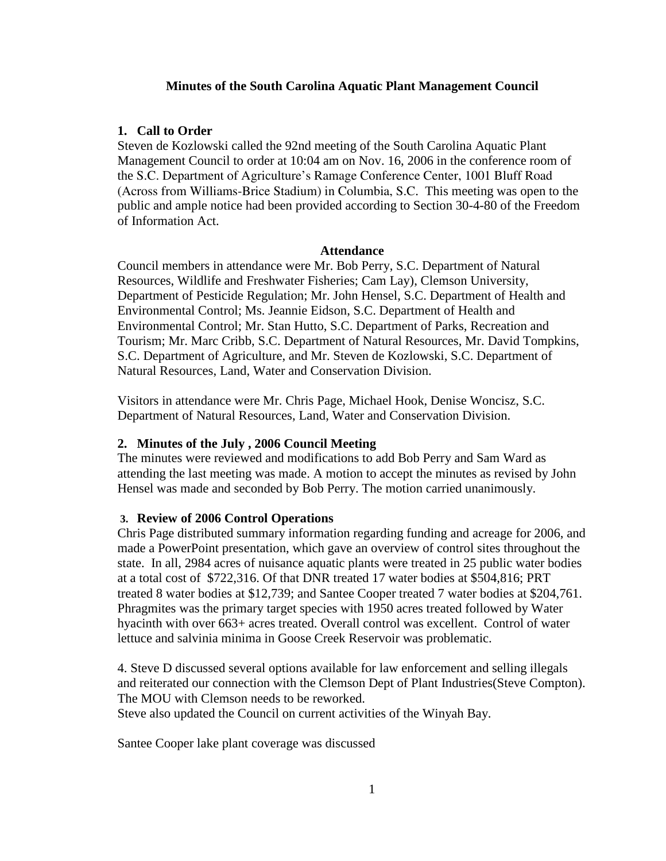### **Minutes of the South Carolina Aquatic Plant Management Council**

### **1. Call to Order**

Steven de Kozlowski called the 92nd meeting of the South Carolina Aquatic Plant Management Council to order at 10:04 am on Nov. 16, 2006 in the conference room of the S.C. Department of Agriculture's Ramage Conference Center, 1001 Bluff Road (Across from Williams-Brice Stadium) in Columbia, S.C. This meeting was open to the public and ample notice had been provided according to Section 30-4-80 of the Freedom of Information Act.

#### **Attendance**

Council members in attendance were Mr. Bob Perry, S.C. Department of Natural Resources, Wildlife and Freshwater Fisheries; Cam Lay), Clemson University, Department of Pesticide Regulation; Mr. John Hensel, S.C. Department of Health and Environmental Control; Ms. Jeannie Eidson, S.C. Department of Health and Environmental Control; Mr. Stan Hutto, S.C. Department of Parks, Recreation and Tourism; Mr. Marc Cribb, S.C. Department of Natural Resources, Mr. David Tompkins, S.C. Department of Agriculture, and Mr. Steven de Kozlowski, S.C. Department of Natural Resources, Land, Water and Conservation Division.

Visitors in attendance were Mr. Chris Page, Michael Hook, Denise Woncisz, S.C. Department of Natural Resources, Land, Water and Conservation Division.

## **2. Minutes of the July , 2006 Council Meeting**

The minutes were reviewed and modifications to add Bob Perry and Sam Ward as attending the last meeting was made. A motion to accept the minutes as revised by John Hensel was made and seconded by Bob Perry. The motion carried unanimously.

## **3. Review of 2006 Control Operations**

Chris Page distributed summary information regarding funding and acreage for 2006, and made a PowerPoint presentation, which gave an overview of control sites throughout the state. In all, 2984 acres of nuisance aquatic plants were treated in 25 public water bodies at a total cost of \$722,316. Of that DNR treated 17 water bodies at \$504,816; PRT treated 8 water bodies at \$12,739; and Santee Cooper treated 7 water bodies at \$204,761. Phragmites was the primary target species with 1950 acres treated followed by Water hyacinth with over 663+ acres treated. Overall control was excellent. Control of water lettuce and salvinia minima in Goose Creek Reservoir was problematic.

4. Steve D discussed several options available for law enforcement and selling illegals and reiterated our connection with the Clemson Dept of Plant Industries(Steve Compton). The MOU with Clemson needs to be reworked.

Steve also updated the Council on current activities of the Winyah Bay.

Santee Cooper lake plant coverage was discussed